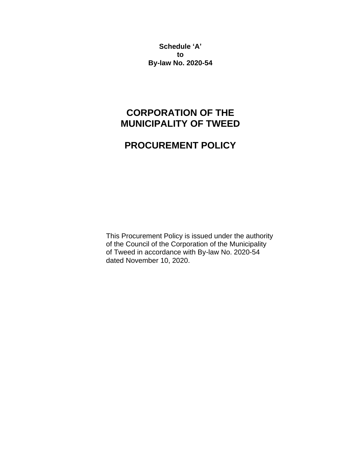**Schedule 'A' to By-law No. 2020-54**

# **CORPORATION OF THE MUNICIPALITY OF TWEED**

# **PROCUREMENT POLICY**

This Procurement Policy is issued under the authority of the Council of the Corporation of the Municipality of Tweed in accordance with By-law No. 2020-54 dated November 10, 2020.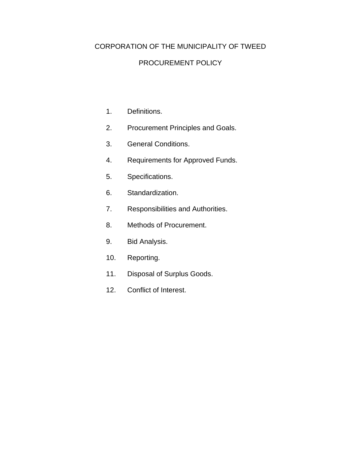## CORPORATION OF THE MUNICIPALITY OF TWEED

#### PROCUREMENT POLICY

- 1. Definitions.
- 2. Procurement Principles and Goals.
- 3. General Conditions.
- 4. Requirements for Approved Funds.
- 5. Specifications.
- 6. Standardization.
- 7. Responsibilities and Authorities.
- 8. Methods of Procurement.
- 9. Bid Analysis.
- 10. Reporting.
- 11. Disposal of Surplus Goods.
- 12. Conflict of Interest.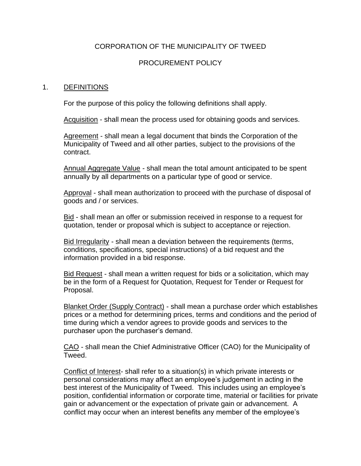## CORPORATION OF THE MUNICIPALITY OF TWEED

#### PROCUREMENT POLICY

#### 1. DEFINITIONS

For the purpose of this policy the following definitions shall apply.

Acquisition - shall mean the process used for obtaining goods and services.

Agreement - shall mean a legal document that binds the Corporation of the Municipality of Tweed and all other parties, subject to the provisions of the contract.

Annual Aggregate Value - shall mean the total amount anticipated to be spent annually by all departments on a particular type of good or service.

Approval - shall mean authorization to proceed with the purchase of disposal of goods and / or services.

Bid - shall mean an offer or submission received in response to a request for quotation, tender or proposal which is subject to acceptance or rejection.

Bid Irregularity - shall mean a deviation between the requirements (terms, conditions, specifications, special instructions) of a bid request and the information provided in a bid response.

Bid Request - shall mean a written request for bids or a solicitation, which may be in the form of a Request for Quotation, Request for Tender or Request for Proposal.

Blanket Order (Supply Contract) - shall mean a purchase order which establishes prices or a method for determining prices, terms and conditions and the period of time during which a vendor agrees to provide goods and services to the purchaser upon the purchaser's demand.

CAO - shall mean the Chief Administrative Officer (CAO) for the Municipality of Tweed.

Conflict of Interest- shall refer to a situation(s) in which private interests or personal considerations may affect an employee's judgement in acting in the best interest of the Municipality of Tweed. This includes using an employee's position, confidential information or corporate time, material or facilities for private gain or advancement or the expectation of private gain or advancement. A conflict may occur when an interest benefits any member of the employee's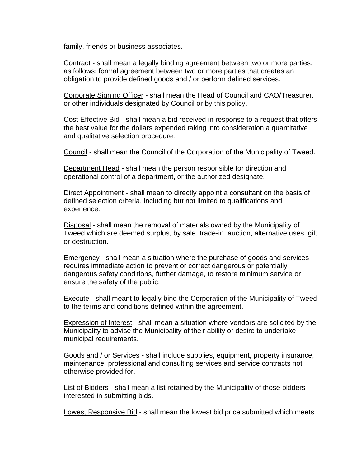family, friends or business associates.

Contract - shall mean a legally binding agreement between two or more parties, as follows: formal agreement between two or more parties that creates an obligation to provide defined goods and / or perform defined services.

Corporate Signing Officer - shall mean the Head of Council and CAO/Treasurer, or other individuals designated by Council or by this policy.

Cost Effective Bid - shall mean a bid received in response to a request that offers the best value for the dollars expended taking into consideration a quantitative and qualitative selection procedure.

Council - shall mean the Council of the Corporation of the Municipality of Tweed.

Department Head - shall mean the person responsible for direction and operational control of a department, or the authorized designate.

Direct Appointment - shall mean to directly appoint a consultant on the basis of defined selection criteria, including but not limited to qualifications and experience.

Disposal - shall mean the removal of materials owned by the Municipality of Tweed which are deemed surplus, by sale, trade-in, auction, alternative uses, gift or destruction.

Emergency - shall mean a situation where the purchase of goods and services requires immediate action to prevent or correct dangerous or potentially dangerous safety conditions, further damage, to restore minimum service or ensure the safety of the public.

Execute - shall meant to legally bind the Corporation of the Municipality of Tweed to the terms and conditions defined within the agreement.

Expression of Interest - shall mean a situation where vendors are solicited by the Municipality to advise the Municipality of their ability or desire to undertake municipal requirements.

Goods and / or Services - shall include supplies, equipment, property insurance, maintenance, professional and consulting services and service contracts not otherwise provided for.

List of Bidders - shall mean a list retained by the Municipality of those bidders interested in submitting bids.

Lowest Responsive Bid - shall mean the lowest bid price submitted which meets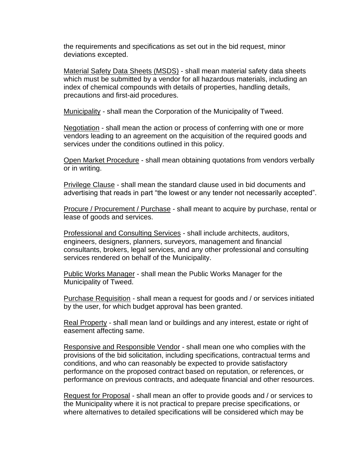the requirements and specifications as set out in the bid request, minor deviations excepted.

Material Safety Data Sheets (MSDS) - shall mean material safety data sheets which must be submitted by a vendor for all hazardous materials, including an index of chemical compounds with details of properties, handling details, precautions and first-aid procedures.

Municipality - shall mean the Corporation of the Municipality of Tweed.

Negotiation - shall mean the action or process of conferring with one or more vendors leading to an agreement on the acquisition of the required goods and services under the conditions outlined in this policy.

Open Market Procedure - shall mean obtaining quotations from vendors verbally or in writing.

Privilege Clause - shall mean the standard clause used in bid documents and advertising that reads in part "the lowest or any tender not necessarily accepted".

Procure / Procurement / Purchase - shall meant to acquire by purchase, rental or lease of goods and services.

Professional and Consulting Services - shall include architects, auditors, engineers, designers, planners, surveyors, management and financial consultants, brokers, legal services, and any other professional and consulting services rendered on behalf of the Municipality.

Public Works Manager - shall mean the Public Works Manager for the Municipality of Tweed.

Purchase Requisition - shall mean a request for goods and / or services initiated by the user, for which budget approval has been granted.

Real Property - shall mean land or buildings and any interest, estate or right of easement affecting same.

Responsive and Responsible Vendor - shall mean one who complies with the provisions of the bid solicitation, including specifications, contractual terms and conditions, and who can reasonably be expected to provide satisfactory performance on the proposed contract based on reputation, or references, or performance on previous contracts, and adequate financial and other resources.

Request for Proposal - shall mean an offer to provide goods and / or services to the Municipality where it is not practical to prepare precise specifications, or where alternatives to detailed specifications will be considered which may be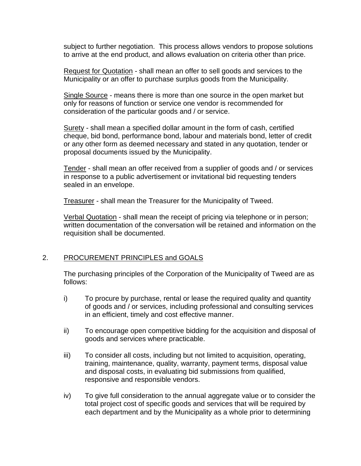subject to further negotiation. This process allows vendors to propose solutions to arrive at the end product, and allows evaluation on criteria other than price.

Request for Quotation - shall mean an offer to sell goods and services to the Municipality or an offer to purchase surplus goods from the Municipality.

Single Source - means there is more than one source in the open market but only for reasons of function or service one vendor is recommended for consideration of the particular goods and / or service.

Surety - shall mean a specified dollar amount in the form of cash, certified cheque, bid bond, performance bond, labour and materials bond, letter of credit or any other form as deemed necessary and stated in any quotation, tender or proposal documents issued by the Municipality.

Tender - shall mean an offer received from a supplier of goods and / or services in response to a public advertisement or invitational bid requesting tenders sealed in an envelope.

Treasurer - shall mean the Treasurer for the Municipality of Tweed.

Verbal Quotation - shall mean the receipt of pricing via telephone or in person; written documentation of the conversation will be retained and information on the requisition shall be documented.

#### 2. PROCUREMENT PRINCIPLES and GOALS

The purchasing principles of the Corporation of the Municipality of Tweed are as follows:

- i) To procure by purchase, rental or lease the required quality and quantity of goods and / or services, including professional and consulting services in an efficient, timely and cost effective manner.
- ii) To encourage open competitive bidding for the acquisition and disposal of goods and services where practicable.
- iii) To consider all costs, including but not limited to acquisition, operating, training, maintenance, quality, warranty, payment terms, disposal value and disposal costs, in evaluating bid submissions from qualified, responsive and responsible vendors.
- iv) To give full consideration to the annual aggregate value or to consider the total project cost of specific goods and services that will be required by each department and by the Municipality as a whole prior to determining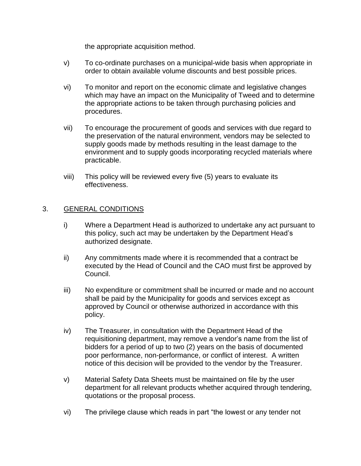the appropriate acquisition method.

- v) To co-ordinate purchases on a municipal-wide basis when appropriate in order to obtain available volume discounts and best possible prices.
- vi) To monitor and report on the economic climate and legislative changes which may have an impact on the Municipality of Tweed and to determine the appropriate actions to be taken through purchasing policies and procedures.
- vii) To encourage the procurement of goods and services with due regard to the preservation of the natural environment, vendors may be selected to supply goods made by methods resulting in the least damage to the environment and to supply goods incorporating recycled materials where practicable.
- viii) This policy will be reviewed every five (5) years to evaluate its effectiveness.

#### 3. GENERAL CONDITIONS

- i) Where a Department Head is authorized to undertake any act pursuant to this policy, such act may be undertaken by the Department Head's authorized designate.
- ii) Any commitments made where it is recommended that a contract be executed by the Head of Council and the CAO must first be approved by Council.
- iii) No expenditure or commitment shall be incurred or made and no account shall be paid by the Municipality for goods and services except as approved by Council or otherwise authorized in accordance with this policy.
- iv) The Treasurer, in consultation with the Department Head of the requisitioning department, may remove a vendor's name from the list of bidders for a period of up to two (2) years on the basis of documented poor performance, non-performance, or conflict of interest. A written notice of this decision will be provided to the vendor by the Treasurer.
- v) Material Safety Data Sheets must be maintained on file by the user department for all relevant products whether acquired through tendering, quotations or the proposal process.
- vi) The privilege clause which reads in part "the lowest or any tender not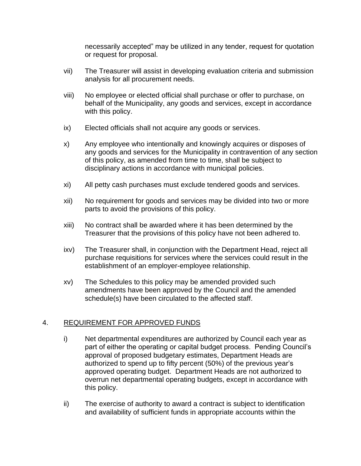necessarily accepted" may be utilized in any tender, request for quotation or request for proposal.

- vii) The Treasurer will assist in developing evaluation criteria and submission analysis for all procurement needs.
- viii) No employee or elected official shall purchase or offer to purchase, on behalf of the Municipality, any goods and services, except in accordance with this policy.
- ix) Elected officials shall not acquire any goods or services.
- x) Any employee who intentionally and knowingly acquires or disposes of any goods and services for the Municipality in contravention of any section of this policy, as amended from time to time, shall be subject to disciplinary actions in accordance with municipal policies.
- xi) All petty cash purchases must exclude tendered goods and services.
- xii) No requirement for goods and services may be divided into two or more parts to avoid the provisions of this policy.
- xiii) No contract shall be awarded where it has been determined by the Treasurer that the provisions of this policy have not been adhered to.
- ixv) The Treasurer shall, in conjunction with the Department Head, reject all purchase requisitions for services where the services could result in the establishment of an employer-employee relationship.
- xv) The Schedules to this policy may be amended provided such amendments have been approved by the Council and the amended schedule(s) have been circulated to the affected staff.

# 4. REQUIREMENT FOR APPROVED FUNDS

- i) Net departmental expenditures are authorized by Council each year as part of either the operating or capital budget process. Pending Council's approval of proposed budgetary estimates, Department Heads are authorized to spend up to fifty percent (50%) of the previous year's approved operating budget. Department Heads are not authorized to overrun net departmental operating budgets, except in accordance with this policy.
- ii) The exercise of authority to award a contract is subject to identification and availability of sufficient funds in appropriate accounts within the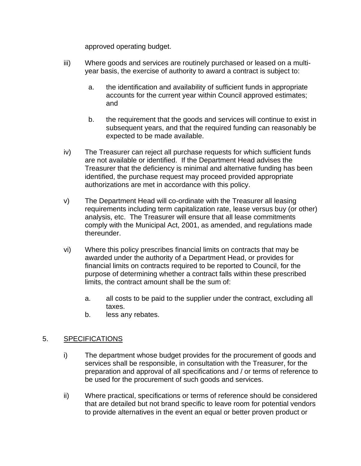approved operating budget.

- iii) Where goods and services are routinely purchased or leased on a multiyear basis, the exercise of authority to award a contract is subject to:
	- a. the identification and availability of sufficient funds in appropriate accounts for the current year within Council approved estimates; and
	- b. the requirement that the goods and services will continue to exist in subsequent years, and that the required funding can reasonably be expected to be made available.
- iv) The Treasurer can reject all purchase requests for which sufficient funds are not available or identified. If the Department Head advises the Treasurer that the deficiency is minimal and alternative funding has been identified, the purchase request may proceed provided appropriate authorizations are met in accordance with this policy.
- v) The Department Head will co-ordinate with the Treasurer all leasing requirements including term capitalization rate, lease versus buy (or other) analysis, etc. The Treasurer will ensure that all lease commitments comply with the Municipal Act, 2001, as amended, and regulations made thereunder.
- vi) Where this policy prescribes financial limits on contracts that may be awarded under the authority of a Department Head, or provides for financial limits on contracts required to be reported to Council, for the purpose of determining whether a contract falls within these prescribed limits, the contract amount shall be the sum of:
	- a. all costs to be paid to the supplier under the contract, excluding all taxes.
	- b. less any rebates.

## 5. SPECIFICATIONS

- i) The department whose budget provides for the procurement of goods and services shall be responsible, in consultation with the Treasurer, for the preparation and approval of all specifications and / or terms of reference to be used for the procurement of such goods and services.
- ii) Where practical, specifications or terms of reference should be considered that are detailed but not brand specific to leave room for potential vendors to provide alternatives in the event an equal or better proven product or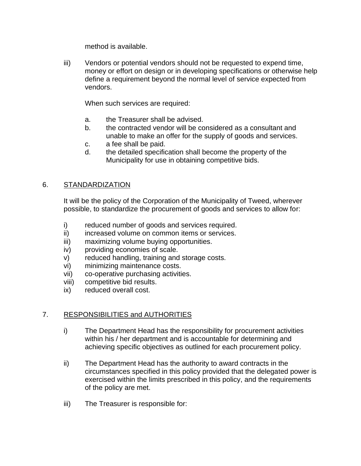method is available.

iii) Vendors or potential vendors should not be requested to expend time, money or effort on design or in developing specifications or otherwise help define a requirement beyond the normal level of service expected from vendors.

When such services are required:

- a. the Treasurer shall be advised.
- b. the contracted vendor will be considered as a consultant and unable to make an offer for the supply of goods and services.
- c. a fee shall be paid.
- d. the detailed specification shall become the property of the Municipality for use in obtaining competitive bids.

#### 6. STANDARDIZATION

It will be the policy of the Corporation of the Municipality of Tweed, wherever possible, to standardize the procurement of goods and services to allow for:

- i) reduced number of goods and services required.
- ii) increased volume on common items or services.
- iii) maximizing volume buying opportunities.
- iv) providing economies of scale.
- v) reduced handling, training and storage costs.
- vi) minimizing maintenance costs.
- vii) co-operative purchasing activities.
- viii) competitive bid results.
- ix) reduced overall cost.

## 7. RESPONSIBILITIES and AUTHORITIES

- i) The Department Head has the responsibility for procurement activities within his / her department and is accountable for determining and achieving specific objectives as outlined for each procurement policy.
- ii) The Department Head has the authority to award contracts in the circumstances specified in this policy provided that the delegated power is exercised within the limits prescribed in this policy, and the requirements of the policy are met.
- iii) The Treasurer is responsible for: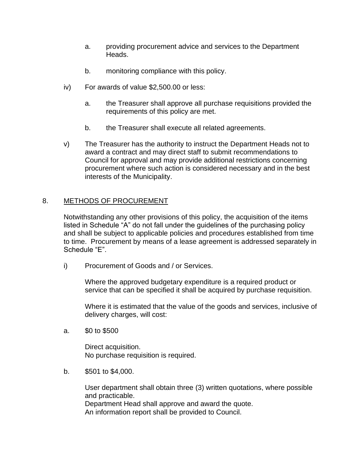- a. providing procurement advice and services to the Department Heads.
- b. monitoring compliance with this policy.
- iv) For awards of value \$2,500.00 or less:
	- a. the Treasurer shall approve all purchase requisitions provided the requirements of this policy are met.
	- b. the Treasurer shall execute all related agreements.
- v) The Treasurer has the authority to instruct the Department Heads not to award a contract and may direct staff to submit recommendations to Council for approval and may provide additional restrictions concerning procurement where such action is considered necessary and in the best interests of the Municipality.

#### 8. METHODS OF PROCUREMENT

Notwithstanding any other provisions of this policy, the acquisition of the items listed in Schedule "A" do not fall under the guidelines of the purchasing policy and shall be subject to applicable policies and procedures established from time to time. Procurement by means of a lease agreement is addressed separately in Schedule "E".

i) Procurement of Goods and / or Services.

Where the approved budgetary expenditure is a required product or service that can be specified it shall be acquired by purchase requisition.

Where it is estimated that the value of the goods and services, inclusive of delivery charges, will cost:

a. \$0 to \$500

Direct acquisition. No purchase requisition is required.

b. \$501 to \$4,000.

User department shall obtain three (3) written quotations, where possible and practicable. Department Head shall approve and award the quote. An information report shall be provided to Council.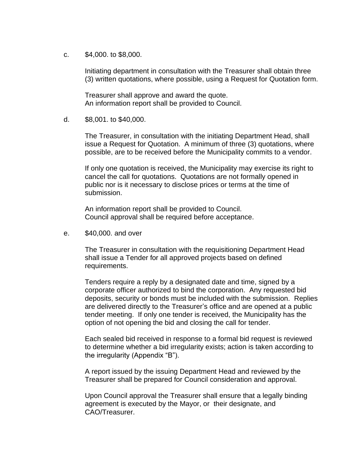c. \$4,000. to \$8,000.

Initiating department in consultation with the Treasurer shall obtain three (3) written quotations, where possible, using a Request for Quotation form.

Treasurer shall approve and award the quote. An information report shall be provided to Council.

d. \$8,001. to \$40,000.

The Treasurer, in consultation with the initiating Department Head, shall issue a Request for Quotation. A minimum of three (3) quotations, where possible, are to be received before the Municipality commits to a vendor.

If only one quotation is received, the Municipality may exercise its right to cancel the call for quotations. Quotations are not formally opened in public nor is it necessary to disclose prices or terms at the time of submission.

An information report shall be provided to Council. Council approval shall be required before acceptance.

e. \$40,000. and over

The Treasurer in consultation with the requisitioning Department Head shall issue a Tender for all approved projects based on defined requirements.

Tenders require a reply by a designated date and time, signed by a corporate officer authorized to bind the corporation. Any requested bid deposits, security or bonds must be included with the submission. Replies are delivered directly to the Treasurer's office and are opened at a public tender meeting. If only one tender is received, the Municipality has the option of not opening the bid and closing the call for tender.

Each sealed bid received in response to a formal bid request is reviewed to determine whether a bid irregularity exists; action is taken according to the irregularity (Appendix "B").

A report issued by the issuing Department Head and reviewed by the Treasurer shall be prepared for Council consideration and approval.

Upon Council approval the Treasurer shall ensure that a legally binding agreement is executed by the Mayor, or their designate, and CAO/Treasurer.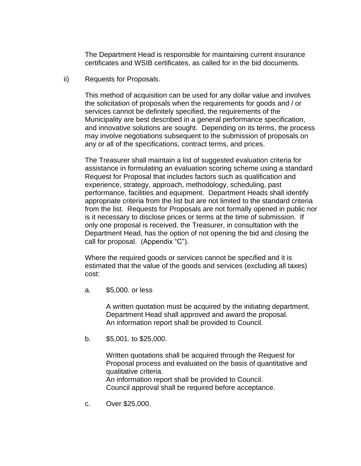The Department Head is responsible for maintaining current insurance certificates and WSIB certificates, as called for in the bid documents.

ii) Requests for Proposals.

This method of acquisition can be used for any dollar value and involves the solicitation of proposals when the requirements for goods and / or services cannot be definitely specified, the requirements of the Municipality are best described in a general performance specification, and innovative solutions are sought. Depending on its terms, the process may involve negotiations subsequent to the submission of proposals on any or all of the specifications, contract terms, and prices.

The Treasurer shall maintain a list of suggested evaluation criteria for assistance in formulating an evaluation scoring scheme using a standard Request for Proposal that includes factors such as qualification and experience, strategy, approach, methodology, scheduling, past performance, facilities and equipment. Department Heads shall identify appropriate criteria from the list but are not limited to the standard criteria from the list. Requests for Proposals are not formally opened in public nor is it necessary to disclose prices or terms at the time of submission. If only one proposal is received, the Treasurer, in consultation with the Department Head, has the option of not opening the bid and closing the call for proposal. (Appendix "C").

Where the required goods or services cannot be specified and it is estimated that the value of the goods and services (excluding all taxes) cost:

a. \$5,000. or less

A written quotation must be acquired by the initiating department. Department Head shall approved and award the proposal. An information report shall be provided to Council.

b. \$5,001. to \$25,000.

Written quotations shall be acquired through the Request for Proposal process and evaluated on the basis of quantitative and qualitative criteria.

An information report shall be provided to Council. Council approval shall be required before acceptance.

c. Over \$25,000.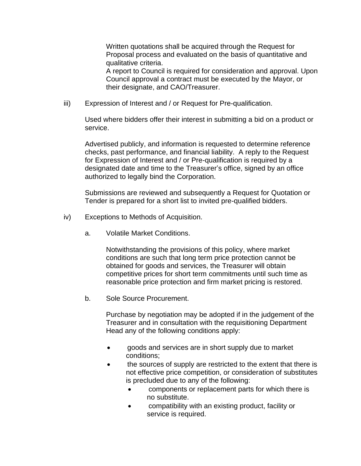Written quotations shall be acquired through the Request for Proposal process and evaluated on the basis of quantitative and qualitative criteria.

A report to Council is required for consideration and approval. Upon Council approval a contract must be executed by the Mayor, or their designate, and CAO/Treasurer.

iii) Expression of Interest and / or Request for Pre-qualification.

Used where bidders offer their interest in submitting a bid on a product or service.

Advertised publicly, and information is requested to determine reference checks, past performance, and financial liability. A reply to the Request for Expression of Interest and / or Pre-qualification is required by a designated date and time to the Treasurer's office, signed by an office authorized to legally bind the Corporation.

Submissions are reviewed and subsequently a Request for Quotation or Tender is prepared for a short list to invited pre-qualified bidders.

- iv) Exceptions to Methods of Acquisition.
	- a. Volatile Market Conditions.

Notwithstanding the provisions of this policy, where market conditions are such that long term price protection cannot be obtained for goods and services, the Treasurer will obtain competitive prices for short term commitments until such time as reasonable price protection and firm market pricing is restored.

b. Sole Source Procurement.

Purchase by negotiation may be adopted if in the judgement of the Treasurer and in consultation with the requisitioning Department Head any of the following conditions apply:

- goods and services are in short supply due to market conditions;
- the sources of supply are restricted to the extent that there is not effective price competition, or consideration of substitutes is precluded due to any of the following:
	- components or replacement parts for which there is no substitute.
	- compatibility with an existing product, facility or service is required.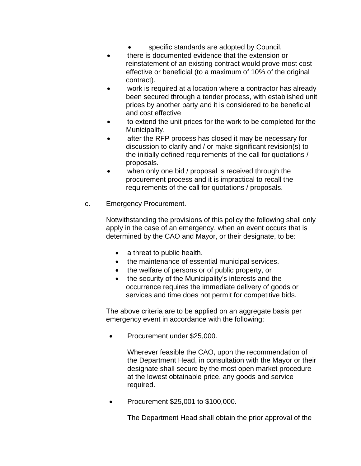- specific standards are adopted by Council.
- there is documented evidence that the extension or reinstatement of an existing contract would prove most cost effective or beneficial (to a maximum of 10% of the original contract).
- work is required at a location where a contractor has already been secured through a tender process, with established unit prices by another party and it is considered to be beneficial and cost effective
- to extend the unit prices for the work to be completed for the Municipality.
- after the RFP process has closed it may be necessary for discussion to clarify and / or make significant revision(s) to the initially defined requirements of the call for quotations / proposals.
- when only one bid / proposal is received through the procurement process and it is impractical to recall the requirements of the call for quotations / proposals.
- c. Emergency Procurement.

Notwithstanding the provisions of this policy the following shall only apply in the case of an emergency, when an event occurs that is determined by the CAO and Mayor, or their designate, to be:

- a threat to public health.
- the maintenance of essential municipal services.
- the welfare of persons or of public property, or
- the security of the Municipality's interests and the occurrence requires the immediate delivery of goods or services and time does not permit for competitive bids.

The above criteria are to be applied on an aggregate basis per emergency event in accordance with the following:

• Procurement under \$25,000.

Wherever feasible the CAO, upon the recommendation of the Department Head, in consultation with the Mayor or their designate shall secure by the most open market procedure at the lowest obtainable price, any goods and service required.

• Procurement \$25,001 to \$100,000.

The Department Head shall obtain the prior approval of the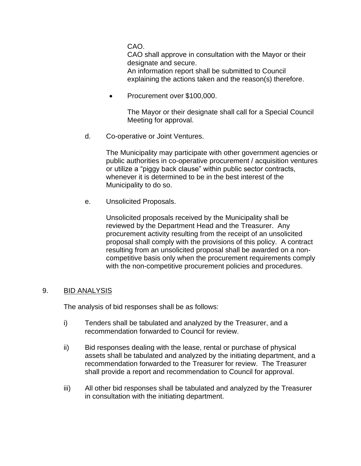CAO.

CAO shall approve in consultation with the Mayor or their designate and secure.

An information report shall be submitted to Council explaining the actions taken and the reason(s) therefore.

• Procurement over \$100,000.

The Mayor or their designate shall call for a Special Council Meeting for approval.

d. Co-operative or Joint Ventures.

The Municipality may participate with other government agencies or public authorities in co-operative procurement / acquisition ventures or utilize a "piggy back clause" within public sector contracts, whenever it is determined to be in the best interest of the Municipality to do so.

e. Unsolicited Proposals.

Unsolicited proposals received by the Municipality shall be reviewed by the Department Head and the Treasurer. Any procurement activity resulting from the receipt of an unsolicited proposal shall comply with the provisions of this policy. A contract resulting from an unsolicited proposal shall be awarded on a noncompetitive basis only when the procurement requirements comply with the non-competitive procurement policies and procedures.

#### 9. BID ANALYSIS

The analysis of bid responses shall be as follows:

- i) Tenders shall be tabulated and analyzed by the Treasurer, and a recommendation forwarded to Council for review.
- ii) Bid responses dealing with the lease, rental or purchase of physical assets shall be tabulated and analyzed by the initiating department, and a recommendation forwarded to the Treasurer for review. The Treasurer shall provide a report and recommendation to Council for approval.
- iii) All other bid responses shall be tabulated and analyzed by the Treasurer in consultation with the initiating department.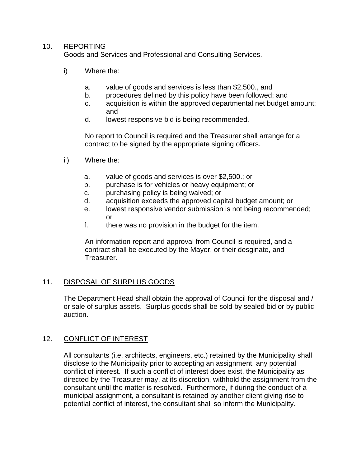#### 10. REPORTING

Goods and Services and Professional and Consulting Services.

- i) Where the:
	- a. value of goods and services is less than \$2,500., and
	- b. procedures defined by this policy have been followed; and
	- c. acquisition is within the approved departmental net budget amount; and
	- d. lowest responsive bid is being recommended.

No report to Council is required and the Treasurer shall arrange for a contract to be signed by the appropriate signing officers.

- ii) Where the:
	- a. value of goods and services is over \$2,500.; or
	- b. purchase is for vehicles or heavy equipment; or
	- c. purchasing policy is being waived; or
	- d. acquisition exceeds the approved capital budget amount; or
	- e. lowest responsive vendor submission is not being recommended; or
	- f. there was no provision in the budget for the item.

An information report and approval from Council is required, and a contract shall be executed by the Mayor, or their desginate, and Treasurer.

#### 11. DISPOSAL OF SURPLUS GOODS

The Department Head shall obtain the approval of Council for the disposal and / or sale of surplus assets. Surplus goods shall be sold by sealed bid or by public auction.

#### 12. CONFLICT OF INTEREST

All consultants (i.e. architects, engineers, etc.) retained by the Municipality shall disclose to the Municipality prior to accepting an assignment, any potential conflict of interest. If such a conflict of interest does exist, the Municipality as directed by the Treasurer may, at its discretion, withhold the assignment from the consultant until the matter is resolved. Furthermore, if during the conduct of a municipal assignment, a consultant is retained by another client giving rise to potential conflict of interest, the consultant shall so inform the Municipality.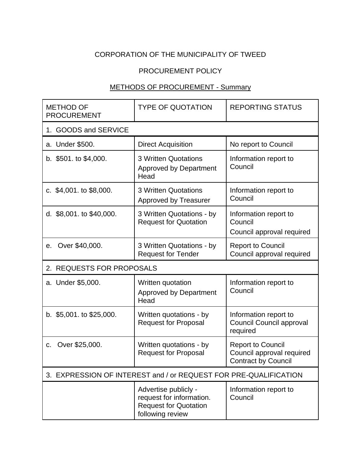# CORPORATION OF THE MUNICIPALITY OF TWEED

## PROCUREMENT POLICY

## METHODS OF PROCUREMENT - Summary

| <b>METHOD OF</b><br><b>PROCUREMENT</b>                           | <b>TYPE OF QUOTATION</b>                                                                             | <b>REPORTING STATUS</b>                                                             |
|------------------------------------------------------------------|------------------------------------------------------------------------------------------------------|-------------------------------------------------------------------------------------|
| 1. GOODS and SERVICE                                             |                                                                                                      |                                                                                     |
| a. Under \$500.                                                  | <b>Direct Acquisition</b>                                                                            | No report to Council                                                                |
| b. $$501.$ to $$4,000$ .                                         | <b>3 Written Quotations</b><br><b>Approved by Department</b><br>Head                                 | Information report to<br>Council                                                    |
| c. $$4,001$ . to $$8,000$ .                                      | 3 Written Quotations<br><b>Approved by Treasurer</b>                                                 | Information report to<br>Council                                                    |
| d. \$8,001. to \$40,000.                                         | 3 Written Quotations - by<br><b>Request for Quotation</b>                                            | Information report to<br>Council<br>Council approval required                       |
| Over \$40,000.<br>е.                                             | 3 Written Quotations - by<br><b>Request for Tender</b>                                               | <b>Report to Council</b><br>Council approval required                               |
| 2. REQUESTS FOR PROPOSALS                                        |                                                                                                      |                                                                                     |
| a. Under \$5,000.                                                | Written quotation<br><b>Approved by Department</b><br>Head                                           | Information report to<br>Council                                                    |
| b. \$5,001. to \$25,000.                                         | Written quotations - by<br><b>Request for Proposal</b>                                               | Information report to<br><b>Council Council approval</b><br>required                |
| Over \$25,000.<br>C.                                             | Written quotations - by<br><b>Request for Proposal</b>                                               | <b>Report to Council</b><br>Council approval required<br><b>Contract by Council</b> |
| 3. EXPRESSION OF INTEREST and / or REQUEST FOR PRE-QUALIFICATION |                                                                                                      |                                                                                     |
|                                                                  | Advertise publicly -<br>request for information.<br><b>Request for Quotation</b><br>following review | Information report to<br>Council                                                    |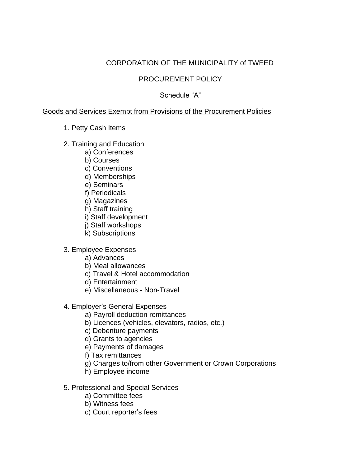# CORPORATION OF THE MUNICIPALITY of TWEED

## PROCUREMENT POLICY

## Schedule "A"

#### Goods and Services Exempt from Provisions of the Procurement Policies

#### 1. Petty Cash Items

- 2. Training and Education
	- a) Conferences
	- b) Courses
	- c) Conventions
	- d) Memberships
	- e) Seminars
	- f) Periodicals
	- g) Magazines
	- h) Staff training
	- i) Staff development
	- j) Staff workshops
	- k) Subscriptions
- 3. Employee Expenses
	- a) Advances
	- b) Meal allowances
	- c) Travel & Hotel accommodation
	- d) Entertainment
	- e) Miscellaneous Non-Travel
- 4. Employer's General Expenses
	- a) Payroll deduction remittances
	- b) Licences (vehicles, elevators, radios, etc.)
	- c) Debenture payments
	- d) Grants to agencies
	- e) Payments of damages
	- f) Tax remittances
	- g) Charges to/from other Government or Crown Corporations
	- h) Employee income
- 5. Professional and Special Services
	- a) Committee fees
	- b) Witness fees
	- c) Court reporter's fees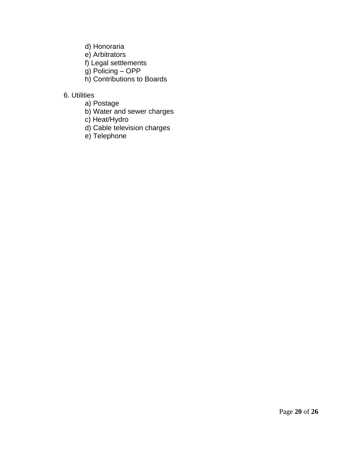- d) Honoraria
- e) Arbitrators
- f) Legal settlements
- g) Policing OPP
- h) Contributions to Boards

# 6. Utilities

- a) Postage
- b) Water and sewer charges
- c) Heat/Hydro
- d) Cable television charges
- e) Telephone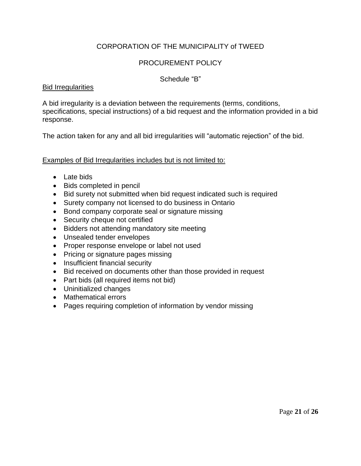## CORPORATION OF THE MUNICIPALITY of TWEED

## PROCUREMENT POLICY

#### Schedule "B"

#### Bid Irregularities

A bid irregularity is a deviation between the requirements (terms, conditions, specifications, special instructions) of a bid request and the information provided in a bid response.

The action taken for any and all bid irregularities will "automatic rejection" of the bid.

Examples of Bid Irregularities includes but is not limited to:

- Late bids
- Bids completed in pencil
- Bid surety not submitted when bid request indicated such is required
- Surety company not licensed to do business in Ontario
- Bond company corporate seal or signature missing
- Security cheque not certified
- Bidders not attending mandatory site meeting
- Unsealed tender envelopes
- Proper response envelope or label not used
- Pricing or signature pages missing
- Insufficient financial security
- Bid received on documents other than those provided in request
- Part bids (all required items not bid)
- Uninitialized changes
- Mathematical errors
- Pages requiring completion of information by vendor missing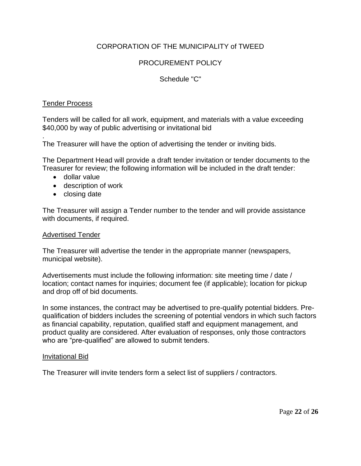## CORPORATION OF THE MUNICIPALITY of TWEED

## PROCUREMENT POLICY

#### Schedule "C"

#### Tender Process

Tenders will be called for all work, equipment, and materials with a value exceeding \$40,000 by way of public advertising or invitational bid

. The Treasurer will have the option of advertising the tender or inviting bids.

The Department Head will provide a draft tender invitation or tender documents to the Treasurer for review; the following information will be included in the draft tender:

- dollar value
- description of work
- closing date

The Treasurer will assign a Tender number to the tender and will provide assistance with documents, if required.

#### Advertised Tender

The Treasurer will advertise the tender in the appropriate manner (newspapers, municipal website).

Advertisements must include the following information: site meeting time / date / location; contact names for inquiries; document fee (if applicable); location for pickup and drop off of bid documents.

In some instances, the contract may be advertised to pre-qualify potential bidders. Prequalification of bidders includes the screening of potential vendors in which such factors as financial capability, reputation, qualified staff and equipment management, and product quality are considered. After evaluation of responses, only those contractors who are "pre-qualified" are allowed to submit tenders.

#### Invitational Bid

The Treasurer will invite tenders form a select list of suppliers / contractors.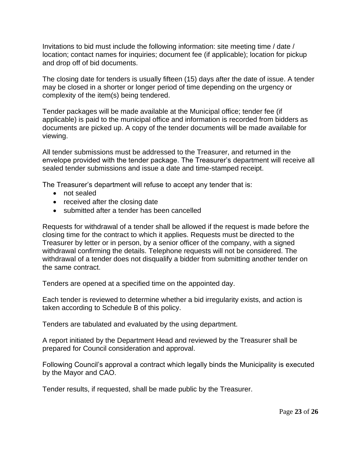Invitations to bid must include the following information: site meeting time / date / location; contact names for inquiries; document fee (if applicable); location for pickup and drop off of bid documents.

The closing date for tenders is usually fifteen (15) days after the date of issue. A tender may be closed in a shorter or longer period of time depending on the urgency or complexity of the item(s) being tendered.

Tender packages will be made available at the Municipal office; tender fee (if applicable) is paid to the municipal office and information is recorded from bidders as documents are picked up. A copy of the tender documents will be made available for viewing.

All tender submissions must be addressed to the Treasurer, and returned in the envelope provided with the tender package. The Treasurer's department will receive all sealed tender submissions and issue a date and time-stamped receipt.

The Treasurer's department will refuse to accept any tender that is:

- not sealed
- received after the closing date
- submitted after a tender has been cancelled

Requests for withdrawal of a tender shall be allowed if the request is made before the closing time for the contract to which it applies. Requests must be directed to the Treasurer by letter or in person, by a senior officer of the company, with a signed withdrawal confirming the details. Telephone requests will not be considered. The withdrawal of a tender does not disqualify a bidder from submitting another tender on the same contract.

Tenders are opened at a specified time on the appointed day.

Each tender is reviewed to determine whether a bid irregularity exists, and action is taken according to Schedule B of this policy.

Tenders are tabulated and evaluated by the using department.

A report initiated by the Department Head and reviewed by the Treasurer shall be prepared for Council consideration and approval.

Following Council's approval a contract which legally binds the Municipality is executed by the Mayor and CAO.

Tender results, if requested, shall be made public by the Treasurer.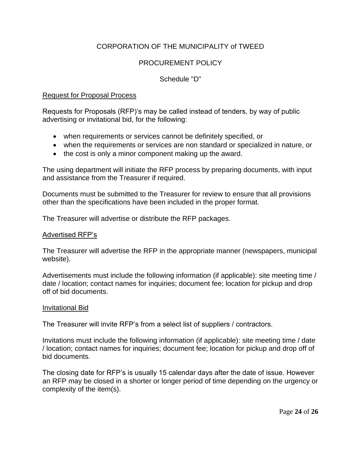## CORPORATION OF THE MUNICIPALITY of TWEED

## PROCUREMENT POLICY

#### Schedule "D"

#### Request for Proposal Process

Requests for Proposals (RFP)'s may be called instead of tenders, by way of public advertising or invitational bid, for the following:

- when requirements or services cannot be definitely specified, or
- when the requirements or services are non standard or specialized in nature, or
- the cost is only a minor component making up the award.

The using department will initiate the RFP process by preparing documents, with input and assistance from the Treasurer if required.

Documents must be submitted to the Treasurer for review to ensure that all provisions other than the specifications have been included in the proper format.

The Treasurer will advertise or distribute the RFP packages.

#### Advertised RFP's

The Treasurer will advertise the RFP in the appropriate manner (newspapers, municipal website).

Advertisements must include the following information (if applicable): site meeting time / date / location; contact names for inquiries; document fee; location for pickup and drop off of bid documents.

#### Invitational Bid

The Treasurer will invite RFP's from a select list of suppliers / contractors.

Invitations must include the following information (if applicable): site meeting time / date / location; contact names for inquiries; document fee; location for pickup and drop off of bid documents.

The closing date for RFP's is usually 15 calendar days after the date of issue. However an RFP may be closed in a shorter or longer period of time depending on the urgency or complexity of the item(s).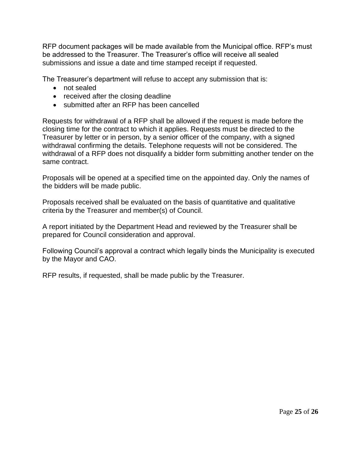RFP document packages will be made available from the Municipal office. RFP's must be addressed to the Treasurer. The Treasurer's office will receive all sealed submissions and issue a date and time stamped receipt if requested.

The Treasurer's department will refuse to accept any submission that is:

- not sealed
- received after the closing deadline
- submitted after an RFP has been cancelled

Requests for withdrawal of a RFP shall be allowed if the request is made before the closing time for the contract to which it applies. Requests must be directed to the Treasurer by letter or in person, by a senior officer of the company, with a signed withdrawal confirming the details. Telephone requests will not be considered. The withdrawal of a RFP does not disqualify a bidder form submitting another tender on the same contract.

Proposals will be opened at a specified time on the appointed day. Only the names of the bidders will be made public.

Proposals received shall be evaluated on the basis of quantitative and qualitative criteria by the Treasurer and member(s) of Council.

A report initiated by the Department Head and reviewed by the Treasurer shall be prepared for Council consideration and approval.

Following Council's approval a contract which legally binds the Municipality is executed by the Mayor and CAO.

RFP results, if requested, shall be made public by the Treasurer.